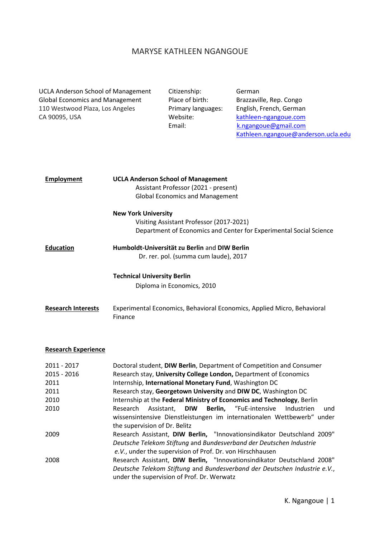# MARYSE KATHLEEN NGANGOUE

| <b>UCLA Anderson School of Management</b> |  |  |
|-------------------------------------------|--|--|
| <b>Global Economics and Management</b>    |  |  |
| 110 Westwood Plaza, Los Angeles           |  |  |
| CA 90095, USA                             |  |  |

Citizenship: German

Place of birth: Brazzaville, Rep. Congo Primary languages: English, French, German Website: [kathleen-ngangoue.com](http://www.kathleen-ngangoue.com/) Email: [k.ngangoue@gmail.com](mailto:k.ngangoue@gmail.com) [Kathleen.ngangoue@anderson.ucla.edu](mailto:Kathleen.ngangoue@anderson.ucla.edu)

| <b>Employment</b>                                          | <b>UCLA Anderson School of Management</b><br>Assistant Professor (2021 - present)<br><b>Global Economics and Management</b>                                                                                                                                                                                                                                                                                                                                                                                                                          |
|------------------------------------------------------------|------------------------------------------------------------------------------------------------------------------------------------------------------------------------------------------------------------------------------------------------------------------------------------------------------------------------------------------------------------------------------------------------------------------------------------------------------------------------------------------------------------------------------------------------------|
|                                                            | <b>New York University</b><br>Visiting Assistant Professor (2017-2021)<br>Department of Economics and Center for Experimental Social Science                                                                                                                                                                                                                                                                                                                                                                                                         |
| <b>Education</b>                                           | Humboldt-Universität zu Berlin and DIW Berlin<br>Dr. rer. pol. (summa cum laude), 2017                                                                                                                                                                                                                                                                                                                                                                                                                                                               |
|                                                            | <b>Technical University Berlin</b><br>Diploma in Economics, 2010                                                                                                                                                                                                                                                                                                                                                                                                                                                                                     |
| <b>Research Interests</b>                                  | Experimental Economics, Behavioral Economics, Applied Micro, Behavioral<br>Finance                                                                                                                                                                                                                                                                                                                                                                                                                                                                   |
| <b>Research Experience</b>                                 |                                                                                                                                                                                                                                                                                                                                                                                                                                                                                                                                                      |
| 2011 - 2017<br>2015 - 2016<br>2011<br>2011<br>2010<br>2010 | Doctoral student, DIW Berlin, Department of Competition and Consumer<br>Research stay, University College London, Department of Economics<br>Internship, International Monetary Fund, Washington DC<br>Research stay, Georgetown University and DIW DC, Washington DC<br>Internship at the Federal Ministry of Economics and Technology, Berlin<br>Berlin,<br>"FuE-intensive<br>Research<br>Assistant,<br><b>DIW</b><br>Industrien<br>und<br>wissensintensive Dienstleistungen im internationalen Wettbewerb" under<br>the supervision of Dr. Belitz |

- 2009 Research Assistant, **DIW Berlin,** "Innovationsindikator Deutschland 2009" *Deutsche Telekom Stiftung* and *Bundesverband der Deutschen Industrie e.V.*, under the supervision of Prof. Dr. von Hirschhausen
- 2008 Research Assistant, **DIW Berlin,** "Innovationsindikator Deutschland 2008" *Deutsche Telekom Stiftung* and *Bundesverband der Deutschen Industrie e.V.*, under the supervision of Prof. Dr. Werwatz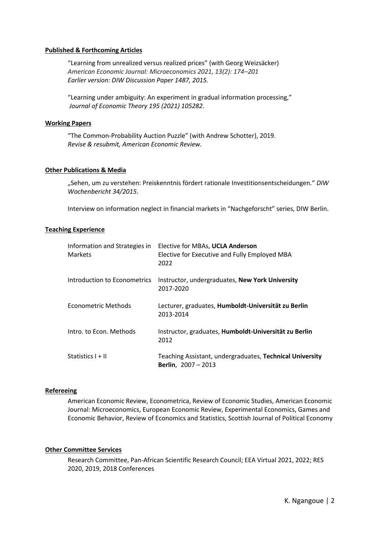# **Published & Forthcoming Articles**

"Learning from unrealized versus realized prices" (with Georg Weizsäcker) *American Economic Journal: Microeconomics 2021, 13(2): 174–201 Earlier version: DIW Discussion Paper 1487, 2015.*

"Learning under ambiguity: An experiment in gradual [information](https://docs.wixstatic.com/ugd/8b088f_3197ef11d4e34c99ab1b5a8efc9ed95c.pdf) processing," *Journal of Economic Theory 195 (2021) 105282.*

#### **Working Papers**

"The Common-Probability Auction Puzzle" (with Andrew Schotter), 2019. *Revise & resubmit, American Economic Review.*

# **Other Publications & Media**

"Sehen, um zu verstehen: Preiskenntnis fördert rationale Investitionsentscheidungen." *DIW Wochenbericht 34/2015*.

Interview on information neglect in financial markets in "Nachgeforscht" series, DIW Berlin.

# **Teaching Experience**

| Information and Strategies in<br><b>Markets</b> | Elective for MBAs, UCLA Anderson<br>Elective for Executive and Fully Employed MBA<br>2022 |
|-------------------------------------------------|-------------------------------------------------------------------------------------------|
| Introduction to Econometrics                    | Instructor, undergraduates, New York University<br>2017-2020                              |
| Econometric Methods                             | Lecturer, graduates, Humboldt-Universität zu Berlin<br>2013-2014                          |
| Intro, to Econ, Methods                         | Instructor, graduates, Humboldt-Universität zu Berlin<br>2012                             |
| Statistics $I + II$                             | Teaching Assistant, undergraduates, Technical University<br><b>Berlin</b> , $2007 - 2013$ |

# **Refereeing**

American Economic Review, Econometrica, Review of Economic Studies, American Economic Journal: Microeconomics, European Economic Review, Experimental Economics, Games and Economic Behavior, Review of Economics and Statistics, Scottish Journal of Political Economy

#### **Other Committee Services**

Research Committee, Pan-African Scientific Research Council; EEA Virtual 2021, 2022; RES 2020, 2019, 2018 Conferences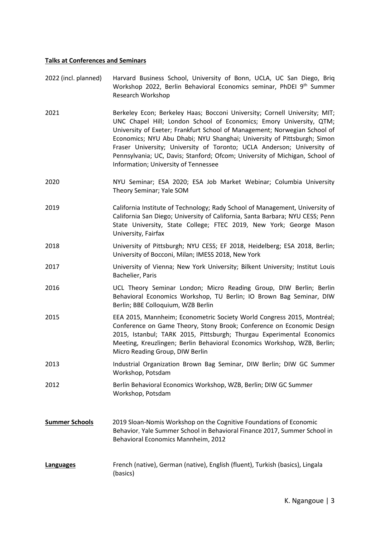# **Talks at Conferences and Seminars**

| 2022 (incl. planned) | Harvard Business School, University of Bonn, UCLA, UC San Diego, Brig |
|----------------------|-----------------------------------------------------------------------|
|                      | Workshop 2022, Berlin Behavioral Economics seminar, PhDEI 9th Summer  |
|                      | Research Workshop                                                     |

- 2021 Berkeley Econ; Berkeley Haas; Bocconi University; Cornell University; MIT; UNC Chapel Hill; London School of Economics; Emory University, QTM; University of Exeter; Frankfurt School of Management; Norwegian School of Economics; NYU Abu Dhabi; NYU Shanghai; University of Pittsburgh; Simon Fraser University; University of Toronto; UCLA Anderson; University of Pennsylvania; UC, Davis; Stanford; Ofcom; University of Michigan, School of Information; University of Tennessee
- 2020 NYU Seminar; ESA 2020; ESA Job Market Webinar; Columbia University Theory Seminar; Yale SOM
- 2019 California Institute of Technology; Rady School of Management, University of California San Diego; University of California, Santa Barbara; NYU CESS; Penn State University, State College; FTEC 2019, New York; George Mason University, Fairfax
- 2018 University of Pittsburgh; NYU CESS; EF 2018, Heidelberg; ESA 2018, Berlin; University of Bocconi, Milan; IMESS 2018, New York
- 2017 University of Vienna; New York University; Bilkent University; Institut Louis Bachelier, Paris
- 2016 UCL Theory Seminar London; Micro Reading Group, DIW Berlin; Berlin Behavioral Economics Workshop, TU Berlin; IO Brown Bag Seminar, DIW Berlin; BBE Colloquium, WZB Berlin
- 2015 EEA 2015, Mannheim; Econometric Society World Congress 2015, Montréal; Conference on Game Theory, Stony Brook; Conference on Economic Design 2015, Istanbul; TARK 2015, Pittsburgh; Thurgau Experimental Economics Meeting, Kreuzlingen; Berlin Behavioral Economics Workshop, WZB, Berlin; Micro Reading Group, DIW Berlin
- 2013 Industrial Organization Brown Bag Seminar, DIW Berlin; DIW GC Summer Workshop, Potsdam
- 2012 Berlin Behavioral Economics Workshop, WZB, Berlin; DIW GC Summer Workshop, Potsdam
- **Summer Schools** 2019 Sloan-Nomis Workshop on the Cognitive Foundations of Economic Behavior, Yale Summer School in Behavioral Finance 2017, Summer School in Behavioral Economics Mannheim, 2012
- **Languages** French (native), German (native), English (fluent), Turkish (basics), Lingala (basics)